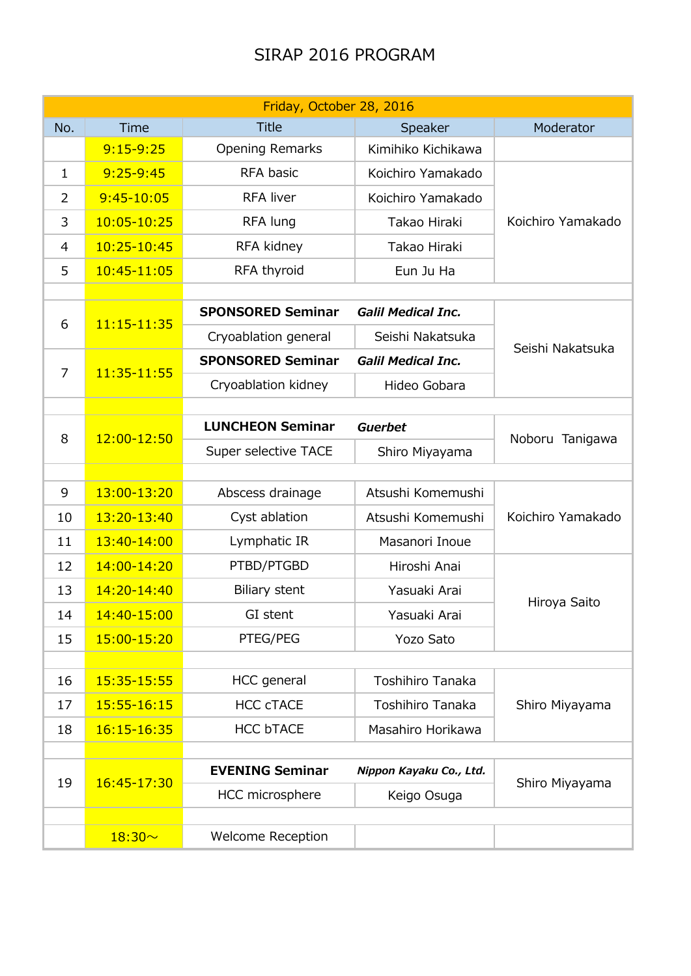## SIRAP 2016 PROGRAM

|                | Friday, October 28, 2016 |                                                   |                           |                   |  |  |  |
|----------------|--------------------------|---------------------------------------------------|---------------------------|-------------------|--|--|--|
| No.            | Time                     | <b>Title</b>                                      | Speaker                   | Moderator         |  |  |  |
|                | $9:15-9:25$              | <b>Opening Remarks</b>                            | Kimihiko Kichikawa        |                   |  |  |  |
| 1              | $9:25 - 9:45$            | RFA basic                                         | Koichiro Yamakado         | Koichiro Yamakado |  |  |  |
| $\overline{2}$ | $9:45 - 10:05$           | <b>RFA liver</b>                                  | Koichiro Yamakado         |                   |  |  |  |
| 3              | 10:05-10:25              | RFA lung                                          | Takao Hiraki              |                   |  |  |  |
| 4              | 10:25-10:45              | RFA kidney                                        | Takao Hiraki              |                   |  |  |  |
| 5              | 10:45-11:05              | RFA thyroid                                       | Eun Ju Ha                 |                   |  |  |  |
|                |                          |                                                   |                           |                   |  |  |  |
| 6              | 11:15-11:35              | <b>SPONSORED Seminar</b>                          | <b>Galil Medical Inc.</b> |                   |  |  |  |
|                |                          | Cryoablation general                              | Seishi Nakatsuka          | Seishi Nakatsuka  |  |  |  |
| $\overline{7}$ | 11:35-11:55              | <b>SPONSORED Seminar</b>                          | <b>Galil Medical Inc.</b> |                   |  |  |  |
|                |                          | Cryoablation kidney                               | Hideo Gobara              |                   |  |  |  |
|                |                          |                                                   |                           |                   |  |  |  |
| 8              | 12:00-12:50              | <b>LUNCHEON Seminar</b>                           | <b>Guerbet</b>            | Noboru Tanigawa   |  |  |  |
|                |                          | Super selective TACE                              | Shiro Miyayama            |                   |  |  |  |
| 9              | 13:00-13:20              | Abscess drainage                                  | Atsushi Komemushi         |                   |  |  |  |
|                |                          |                                                   |                           | Koichiro Yamakado |  |  |  |
| 10             | 13:20-13:40              | Cyst ablation                                     | Atsushi Komemushi         |                   |  |  |  |
| 11             | 13:40-14:00              | Lymphatic IR                                      | Masanori Inoue            |                   |  |  |  |
| 12             | 14:00-14:20              | PTBD/PTGBD                                        | Hiroshi Anai              |                   |  |  |  |
| 13             | 14:20-14:40              | Biliary stent                                     | Yasuaki Arai              | Hiroya Saito      |  |  |  |
| 14             | 14:40-15:00              | GI stent                                          | Yasuaki Arai              |                   |  |  |  |
| 15             | 15:00-15:20              | PTEG/PEG                                          | Yozo Sato                 |                   |  |  |  |
|                |                          | <b>HCC</b> general                                | Toshihiro Tanaka          |                   |  |  |  |
| 16             | 15:35-15:55              |                                                   |                           | Shiro Miyayama    |  |  |  |
| 17             | 15:55-16:15              | <b>HCC cTACE</b>                                  | <b>Toshihiro Tanaka</b>   |                   |  |  |  |
| 18             | 16:15-16:35              | <b>HCC bTACE</b>                                  | Masahiro Horikawa         |                   |  |  |  |
| 19             | 16:45-17:30              | <b>EVENING Seminar</b><br>Nippon Kayaku Co., Ltd. |                           |                   |  |  |  |
|                |                          | HCC microsphere                                   | Keigo Osuga               | Shiro Miyayama    |  |  |  |
|                |                          |                                                   |                           |                   |  |  |  |
|                | $18:30 -$                | <b>Welcome Reception</b>                          |                           |                   |  |  |  |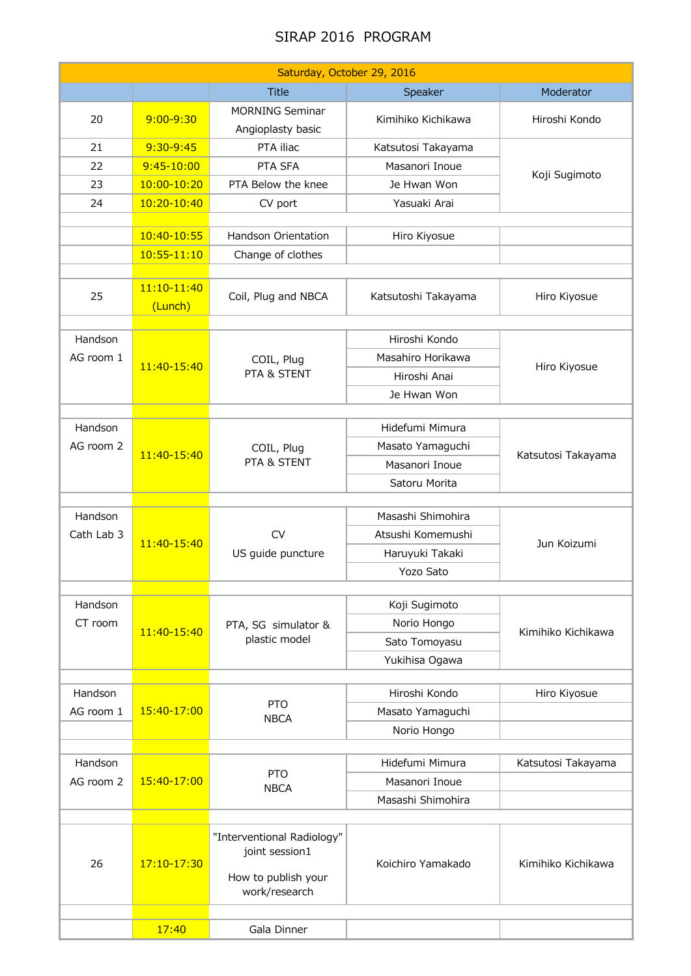## SIRAP 2016 PROGRAM

| Saturday, October 29, 2016 |                 |                                              |                     |                    |  |  |  |  |
|----------------------------|-----------------|----------------------------------------------|---------------------|--------------------|--|--|--|--|
|                            |                 | <b>Title</b>                                 | Speaker             | Moderator          |  |  |  |  |
|                            |                 | <b>MORNING Seminar</b>                       |                     |                    |  |  |  |  |
| 20                         | $9:00 - 9:30$   | Angioplasty basic                            | Kimihiko Kichikawa  | Hiroshi Kondo      |  |  |  |  |
| 21                         | 9:30-9:45       | PTA iliac                                    | Katsutosi Takayama  |                    |  |  |  |  |
| 22                         | $9:45-10:00$    | PTA SFA                                      | Masanori Inoue      | Koji Sugimoto      |  |  |  |  |
| 23                         | 10:00-10:20     | PTA Below the knee                           | Je Hwan Won         |                    |  |  |  |  |
| 24                         | 10:20-10:40     | CV port                                      | Yasuaki Arai        |                    |  |  |  |  |
|                            |                 |                                              |                     |                    |  |  |  |  |
|                            | 10:40-10:55     | Handson Orientation                          | Hiro Kiyosue        |                    |  |  |  |  |
|                            | $10:55 - 11:10$ | Change of clothes                            |                     |                    |  |  |  |  |
|                            |                 |                                              |                     |                    |  |  |  |  |
| 25                         | 11:10-11:40     | Coil, Plug and NBCA                          | Katsutoshi Takayama | Hiro Kiyosue       |  |  |  |  |
|                            | (Lunch)         |                                              |                     |                    |  |  |  |  |
| Handson                    |                 |                                              | Hiroshi Kondo       |                    |  |  |  |  |
| AG room 1                  |                 | COIL, Plug<br>PTA & STENT                    | Masahiro Horikawa   | Hiro Kiyosue       |  |  |  |  |
|                            | 11:40-15:40     |                                              | Hiroshi Anai        |                    |  |  |  |  |
|                            |                 |                                              | Je Hwan Won         |                    |  |  |  |  |
|                            |                 |                                              |                     |                    |  |  |  |  |
| Handson                    |                 |                                              | Hidefumi Mimura     | Katsutosi Takayama |  |  |  |  |
| AG room 2                  | 11:40-15:40     | COIL, Plug                                   | Masato Yamaguchi    |                    |  |  |  |  |
|                            |                 | PTA & STENT                                  | Masanori Inoue      |                    |  |  |  |  |
|                            |                 |                                              | Satoru Morita       |                    |  |  |  |  |
|                            |                 |                                              |                     |                    |  |  |  |  |
| Handson                    | 11:40-15:40     | <b>CV</b><br>US guide puncture               | Masashi Shimohira   | Jun Koizumi        |  |  |  |  |
| Cath Lab 3                 |                 |                                              | Atsushi Komemushi   |                    |  |  |  |  |
|                            |                 |                                              | Haruyuki Takaki     |                    |  |  |  |  |
|                            |                 |                                              | Yozo Sato           |                    |  |  |  |  |
| Handson                    | 11:40-15:40     | PTA, SG simulator &<br>plastic model         | Koji Sugimoto       |                    |  |  |  |  |
| CT room                    |                 |                                              | Norio Hongo         | Kimihiko Kichikawa |  |  |  |  |
|                            |                 |                                              | Sato Tomoyasu       |                    |  |  |  |  |
|                            |                 |                                              | Yukihisa Ogawa      |                    |  |  |  |  |
|                            |                 |                                              |                     |                    |  |  |  |  |
| Handson                    |                 |                                              | Hiroshi Kondo       | Hiro Kiyosue       |  |  |  |  |
| AG room 1                  | 15:40-17:00     | <b>PTO</b><br><b>NBCA</b>                    | Masato Yamaguchi    |                    |  |  |  |  |
|                            |                 |                                              | Norio Hongo         |                    |  |  |  |  |
|                            |                 |                                              |                     |                    |  |  |  |  |
| Handson                    |                 | <b>PTO</b><br><b>NBCA</b>                    | Hidefumi Mimura     | Katsutosi Takayama |  |  |  |  |
| AG room 2                  | 15:40-17:00     |                                              | Masanori Inoue      |                    |  |  |  |  |
|                            |                 |                                              | Masashi Shimohira   |                    |  |  |  |  |
|                            | 17:10-17:30     |                                              | Koichiro Yamakado   | Kimihiko Kichikawa |  |  |  |  |
|                            |                 | "Interventional Radiology"<br>joint session1 |                     |                    |  |  |  |  |
| 26                         |                 |                                              |                     |                    |  |  |  |  |
|                            |                 | How to publish your<br>work/research         |                     |                    |  |  |  |  |
|                            |                 |                                              |                     |                    |  |  |  |  |
|                            | 17:40           | Gala Dinner                                  |                     |                    |  |  |  |  |
|                            |                 |                                              |                     |                    |  |  |  |  |